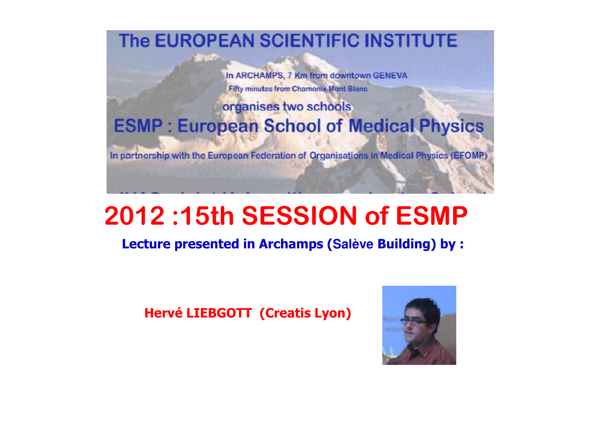The EUROPEAN SCIENTIFIC INSTITUTE

In ARCHAMPS, 7 Km from downtown GENEVA **Fifty minutes from Chamonix-Mont-Blanc** 

## organises two schools **ESMP: European School of Medical Physics**

In partnership with the European Federation of Organisations in Medical Physics (EFOMP)

# <sup>2012</sup> :15th SESSION of ESMP

Lecture presented in Archamps (**Salève** Building) by :

Hervé LIEBGOTT (Creatis Lyon)

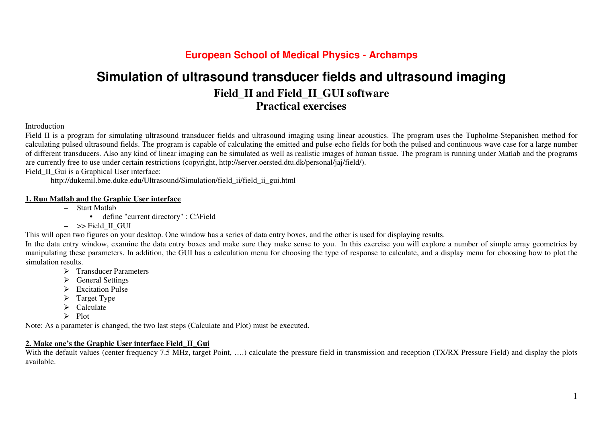## **Simulation of ultrasound transducer fields and ultrasound imaging Field\_II and Field\_II\_GUI software Practical exercises**

#### Introduction

 Field II is a program for simulating ultrasound transducer fields and ultrasound imaging using linear acoustics. The program uses the Tupholme-Stepanishen method for calculating pulsed ultrasound fields. The program is capable of calculating the emitted and pulse-echo fields for both the pulsed and continuous wave case for a large number of different transducers. Also any kind of linear imaging can be simulated as well as realistic images of human tissue. The program is running under Matlab and the programs are currently free to use under certain restrictions (copyright, http://server.oersted.dtu.dk/personal/jaj/field/).

Field\_II\_Gui is a Graphical User interface:

http://dukemil.bme.duke.edu/Ultrasound/Simulation/field\_ii/field\_ii\_gui.html

#### **1. Run Matlab and the Graphic User interface**

- Start Matlab
	- define "current directory" : C:\Field
- $-$  >> Field\_II\_GUI

This will open two figures on your desktop. One window has a series of data entry boxes, and the other is used for displaying results.

 In the data entry window, examine the data entry boxes and make sure they make sense to you. In this exercise you will explore a number of simple array geometries by manipulating these parameters. In addition, the GUI has a calculation menu for choosing the type of response to calculate, and a display menu for choosing how to plot the simulation results.

- $\triangleright$  Transducer Parameters
- $\triangleright$  General Settings
- Excitation Pulse
- $\sum_{n=1}^{\infty}$  Target Type
- $\sum_{\text{Delta}}$
- $\geq$  Plot

Note: As a parameter is changed, the two last steps (Calculate and Plot) must be executed.

#### **2. Make one's the Graphic User interface Field\_II\_Gui**

With the default values (center frequency 7.5 MHz, target Point, ....) calculate the pressure field in transmission and reception (TX/RX Pressure Field) and display the plots available.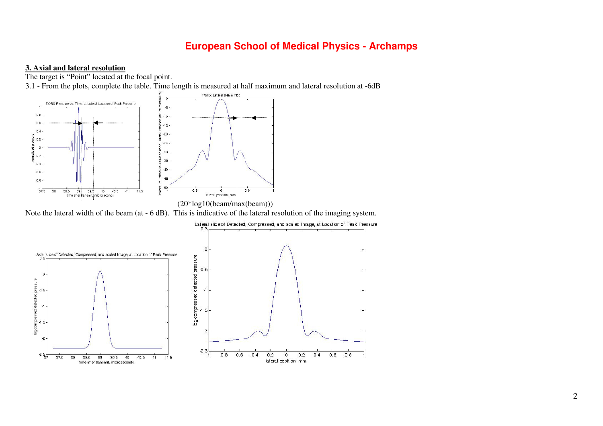#### **3. Axial and lateral resolution**



Note the lateral width of the beam (at - 6 dB). This is indicative of the lateral resolution of the imaging system.

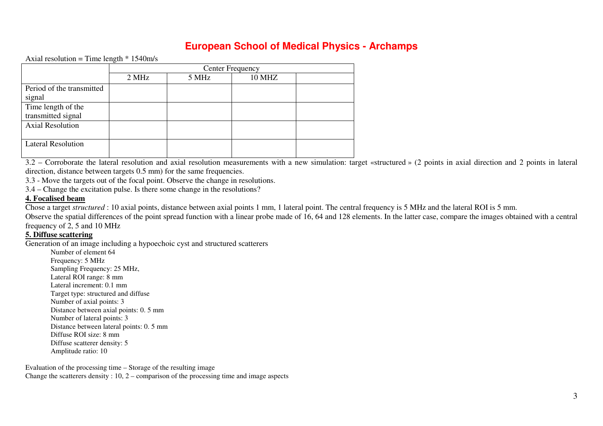Axial resolution = Time length  $*$  1540m/s

|                           | <b>Center Frequency</b> |       |               |  |
|---------------------------|-------------------------|-------|---------------|--|
|                           | 2 MHz                   | 5 MHz | <b>10 MHZ</b> |  |
| Period of the transmitted |                         |       |               |  |
| signal                    |                         |       |               |  |
| Time length of the        |                         |       |               |  |
| transmitted signal        |                         |       |               |  |
| <b>Axial Resolution</b>   |                         |       |               |  |
|                           |                         |       |               |  |
| <b>Lateral Resolution</b> |                         |       |               |  |
|                           |                         |       |               |  |

3.2 – Corroborate the lateral resolution and axial resolution measurements with a new simulation: target «structured » (2 points in axial direction and 2 points in lateral direction, distance between targets 0.5 mm) for the same frequencies.

3.3 - Move the targets out of the focal point. Observe the change in resolutions.

3.4 – Change the excitation pulse. Is there some change in the resolutions?

#### **4. Focalised beam**

Chose a target *structured* : 10 axial points, distance between axial points 1 mm, 1 lateral point. The central frequency is 5 MHz and the lateral ROI is 5 mm.

 Observe the spatial differences of the point spread function with a linear probe made of 16, 64 and 128 elements. In the latter case, compare the images obtained with a central frequency of 2, 5 and 10 MHz

#### **5. Diffuse scattering**

Generation of an image including a hypoechoic cyst and structured scatterers

Number of element 64 Frequency: 5 MHz Sampling Frequency: 25 MHz, Lateral ROI range: 8 mm Lateral increment: 0.1 mm Target type: structured and diffuse Number of axial points: 3 Distance between axial points: 0. 5 mm Number of lateral points: 3 Distance between lateral points: 0. 5 mm Diffuse ROI size: 8 mm Diffuse scatterer density: 5 Amplitude ratio: 10

Evaluation of the processing time – Storage of the resulting image Change the scatterers density  $: 10, 2$  – comparison of the processing time and image aspects